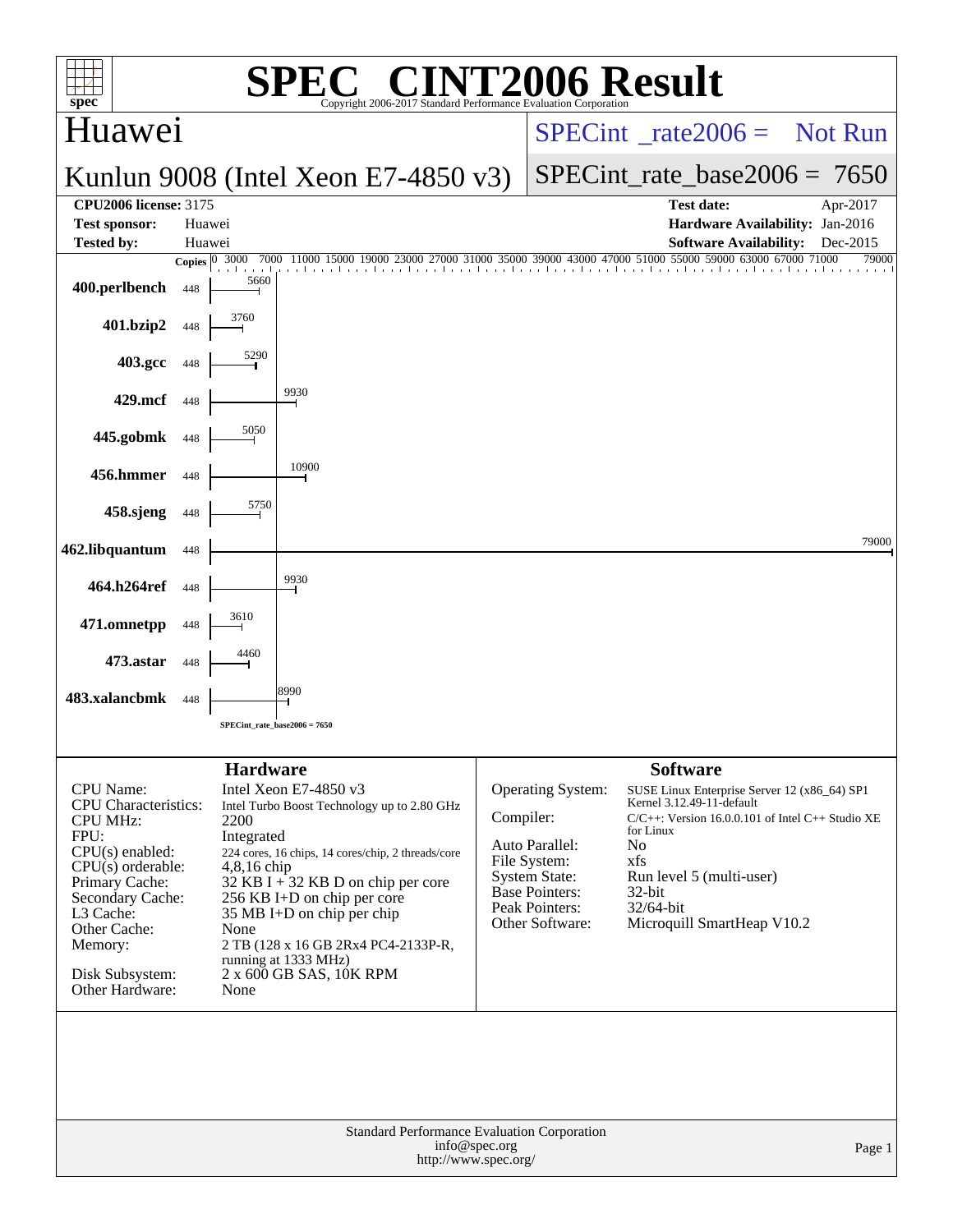| C <sup>®</sup> CINT2006 Result<br><b>SPE</b><br>spec<br>Copyright 2006-2017 Standard Performance Evaluation Corporation                                                                                                                    |                  |                                                                                                                                                                                                                                                                                                                                                                                                             |                                             |  |                                                                                                                                                 |                                                                                                                                                                                                                                                            |                |  |  |
|--------------------------------------------------------------------------------------------------------------------------------------------------------------------------------------------------------------------------------------------|------------------|-------------------------------------------------------------------------------------------------------------------------------------------------------------------------------------------------------------------------------------------------------------------------------------------------------------------------------------------------------------------------------------------------------------|---------------------------------------------|--|-------------------------------------------------------------------------------------------------------------------------------------------------|------------------------------------------------------------------------------------------------------------------------------------------------------------------------------------------------------------------------------------------------------------|----------------|--|--|
| Huawei                                                                                                                                                                                                                                     |                  |                                                                                                                                                                                                                                                                                                                                                                                                             |                                             |  | $SPECint^{\circ}$ <sub>rate</sub> 2006 = Not Run                                                                                                |                                                                                                                                                                                                                                                            |                |  |  |
|                                                                                                                                                                                                                                            |                  |                                                                                                                                                                                                                                                                                                                                                                                                             | Kunlun 9008 (Intel Xeon E7-4850 $v3$ )      |  | $SPECint_rate_base2006 = 7650$                                                                                                                  |                                                                                                                                                                                                                                                            |                |  |  |
| <b>CPU2006</b> license: 3175                                                                                                                                                                                                               |                  |                                                                                                                                                                                                                                                                                                                                                                                                             |                                             |  |                                                                                                                                                 | <b>Test date:</b>                                                                                                                                                                                                                                          | Apr-2017       |  |  |
| <b>Test sponsor:</b><br><b>Tested by:</b>                                                                                                                                                                                                  | Huawei<br>Huawei |                                                                                                                                                                                                                                                                                                                                                                                                             |                                             |  |                                                                                                                                                 | Hardware Availability: Jan-2016<br><b>Software Availability:</b>                                                                                                                                                                                           | Dec-2015       |  |  |
|                                                                                                                                                                                                                                            | Copies $ 0 $     | 3000<br>7000                                                                                                                                                                                                                                                                                                                                                                                                |                                             |  |                                                                                                                                                 | 27000 31000 35000 39000 43000 47000 51000 55000 59000 63000 67000                                                                                                                                                                                          | 71000<br>79000 |  |  |
| 400.perlbench                                                                                                                                                                                                                              | 448              | 5660                                                                                                                                                                                                                                                                                                                                                                                                        |                                             |  |                                                                                                                                                 |                                                                                                                                                                                                                                                            |                |  |  |
| 401.bzip2                                                                                                                                                                                                                                  | 448              | 3760                                                                                                                                                                                                                                                                                                                                                                                                        |                                             |  |                                                                                                                                                 |                                                                                                                                                                                                                                                            |                |  |  |
| 403.gcc                                                                                                                                                                                                                                    | 448              | 5290                                                                                                                                                                                                                                                                                                                                                                                                        |                                             |  |                                                                                                                                                 |                                                                                                                                                                                                                                                            |                |  |  |
| 429.mcf                                                                                                                                                                                                                                    | 448              |                                                                                                                                                                                                                                                                                                                                                                                                             | 9930                                        |  |                                                                                                                                                 |                                                                                                                                                                                                                                                            |                |  |  |
| 445.gobmk                                                                                                                                                                                                                                  | 448              | 5050                                                                                                                                                                                                                                                                                                                                                                                                        |                                             |  |                                                                                                                                                 |                                                                                                                                                                                                                                                            |                |  |  |
| 456.hmmer                                                                                                                                                                                                                                  | 448              |                                                                                                                                                                                                                                                                                                                                                                                                             | 10900                                       |  |                                                                                                                                                 |                                                                                                                                                                                                                                                            |                |  |  |
| 458.sjeng                                                                                                                                                                                                                                  | 448              | 5750                                                                                                                                                                                                                                                                                                                                                                                                        |                                             |  |                                                                                                                                                 |                                                                                                                                                                                                                                                            |                |  |  |
| 462.libquantum                                                                                                                                                                                                                             | 448              |                                                                                                                                                                                                                                                                                                                                                                                                             |                                             |  |                                                                                                                                                 |                                                                                                                                                                                                                                                            | 79000          |  |  |
| 464.h264ref                                                                                                                                                                                                                                | 448              |                                                                                                                                                                                                                                                                                                                                                                                                             | 9930                                        |  |                                                                                                                                                 |                                                                                                                                                                                                                                                            |                |  |  |
| 471.omnetpp                                                                                                                                                                                                                                | 448              | 3610                                                                                                                                                                                                                                                                                                                                                                                                        |                                             |  |                                                                                                                                                 |                                                                                                                                                                                                                                                            |                |  |  |
| 473.astar                                                                                                                                                                                                                                  | 448              | 4460                                                                                                                                                                                                                                                                                                                                                                                                        |                                             |  |                                                                                                                                                 |                                                                                                                                                                                                                                                            |                |  |  |
| 483.xalancbmk                                                                                                                                                                                                                              | 448              |                                                                                                                                                                                                                                                                                                                                                                                                             | 8990                                        |  |                                                                                                                                                 |                                                                                                                                                                                                                                                            |                |  |  |
|                                                                                                                                                                                                                                            |                  | SPECint_rate_base2006 = 7650                                                                                                                                                                                                                                                                                                                                                                                |                                             |  |                                                                                                                                                 |                                                                                                                                                                                                                                                            |                |  |  |
|                                                                                                                                                                                                                                            |                  |                                                                                                                                                                                                                                                                                                                                                                                                             |                                             |  |                                                                                                                                                 | <b>Software</b>                                                                                                                                                                                                                                            |                |  |  |
| <b>CPU</b> Name:<br><b>CPU</b> Characteristics:<br><b>CPU MHz:</b><br>FPU:<br>$CPU(s)$ enabled:<br>$CPU(s)$ orderable:<br>Primary Cache:<br>Secondary Cache:<br>L3 Cache:<br>Other Cache:<br>Memory:<br>Disk Subsystem:<br>Other Hardware: |                  | <b>Hardware</b><br>Intel Xeon E7-4850 $v3$<br>Intel Turbo Boost Technology up to 2.80 GHz<br>2200<br>Integrated<br>224 cores, 16 chips, 14 cores/chip, 2 threads/core<br>4,8,16 chip<br>32 KB I + 32 KB D on chip per core<br>256 KB I+D on chip per core<br>$35 \text{ MB I+D}$ on chip per chip<br>None<br>2 TB (128 x 16 GB 2Rx4 PC4-2133P-R,<br>running at 1333 MHz)<br>2 x 600 GB SAS, 10K RPM<br>None |                                             |  | Operating System:<br>Compiler:<br>Auto Parallel:<br>File System:<br><b>System State:</b><br>Base Pointers:<br>Peak Pointers:<br>Other Software: | SUSE Linux Enterprise Server 12 (x86_64) SP1<br>Kernel 3.12.49-11-default<br>$C/C++$ : Version 16.0.0.101 of Intel C++ Studio XE<br>for Linux<br>N <sub>0</sub><br>xfs<br>Run level 5 (multi-user)<br>$32$ -bit<br>32/64-bit<br>Microquill SmartHeap V10.2 |                |  |  |
|                                                                                                                                                                                                                                            |                  |                                                                                                                                                                                                                                                                                                                                                                                                             | Standard Performance Evaluation Corporation |  |                                                                                                                                                 |                                                                                                                                                                                                                                                            |                |  |  |
|                                                                                                                                                                                                                                            |                  |                                                                                                                                                                                                                                                                                                                                                                                                             | info@spec.org<br>http://www.spec.org/       |  |                                                                                                                                                 |                                                                                                                                                                                                                                                            | Page 1         |  |  |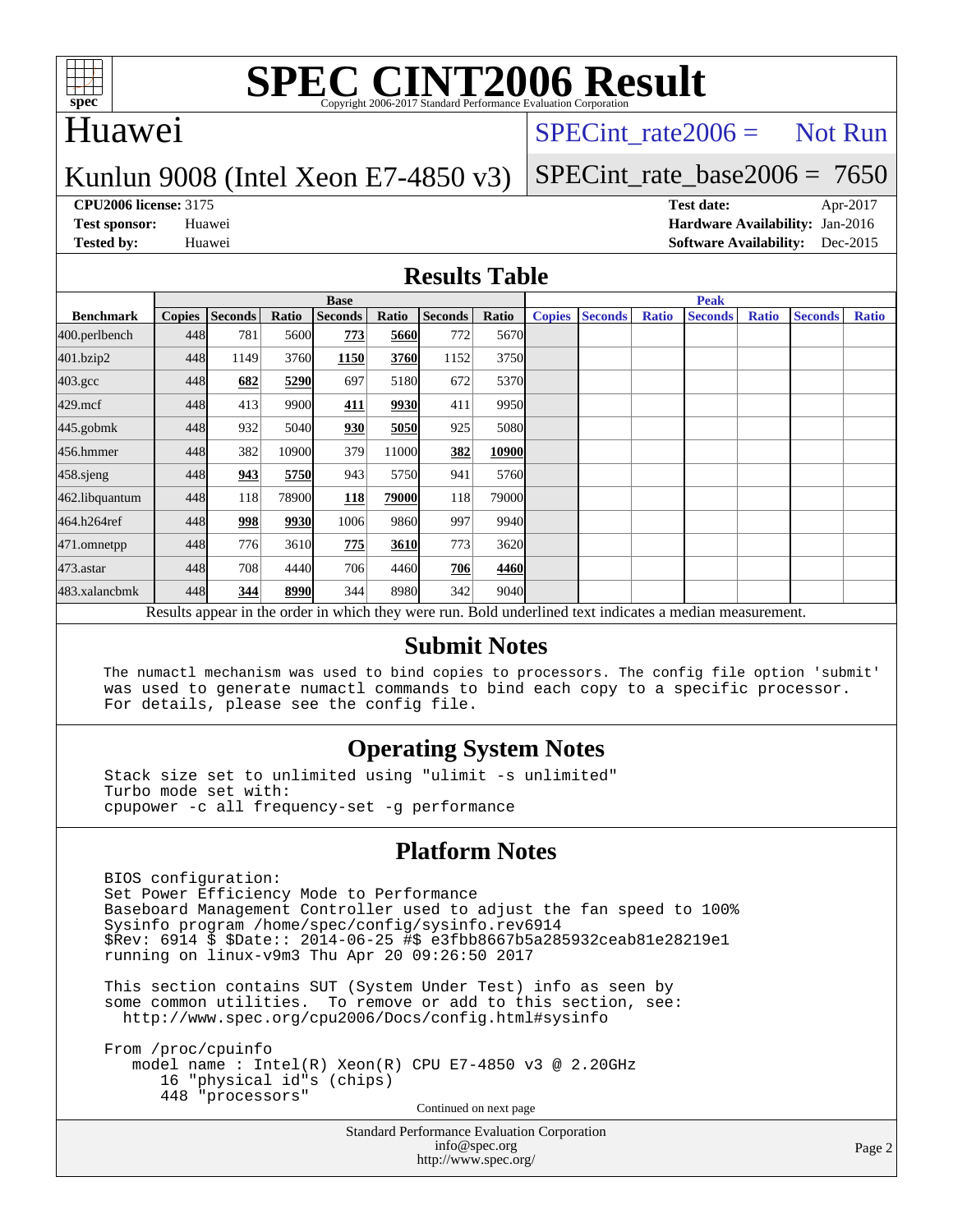

## Huawei

## $SPECTnt_rate2006 = Not Run$

## Kunlun 9008 (Intel Xeon E7-4850 v3)

# [SPECint\\_rate\\_base2006 =](http://www.spec.org/auto/cpu2006/Docs/result-fields.html#SPECintratebase2006) 7650

**[CPU2006 license:](http://www.spec.org/auto/cpu2006/Docs/result-fields.html#CPU2006license)** 3175 **[Test date:](http://www.spec.org/auto/cpu2006/Docs/result-fields.html#Testdate)** Apr-2017 **[Test sponsor:](http://www.spec.org/auto/cpu2006/Docs/result-fields.html#Testsponsor)** Huawei **[Hardware Availability:](http://www.spec.org/auto/cpu2006/Docs/result-fields.html#HardwareAvailability)** Jan-2016 **[Tested by:](http://www.spec.org/auto/cpu2006/Docs/result-fields.html#Testedby)** Huawei **[Software Availability:](http://www.spec.org/auto/cpu2006/Docs/result-fields.html#SoftwareAvailability)** Dec-2015

### **[Results Table](http://www.spec.org/auto/cpu2006/Docs/result-fields.html#ResultsTable)**

|                                                                                                          | <b>Base</b> |                |       |                |       |         |        | <b>Peak</b>   |                |              |                |              |                |              |
|----------------------------------------------------------------------------------------------------------|-------------|----------------|-------|----------------|-------|---------|--------|---------------|----------------|--------------|----------------|--------------|----------------|--------------|
| <b>Benchmark</b>                                                                                         |             | Copies Seconds | Ratio | <b>Seconds</b> | Ratio | Seconds | Ratio  | <b>Copies</b> | <b>Seconds</b> | <b>Ratio</b> | <b>Seconds</b> | <b>Ratio</b> | <b>Seconds</b> | <b>Ratio</b> |
| 400.perlbench                                                                                            | 448         | 781            | 5600  | 773            | 5660  | 772     | 5670   |               |                |              |                |              |                |              |
| 401.bzip2                                                                                                | 448         | 1149           | 3760  | 1150           | 3760  | 1152    | 3750   |               |                |              |                |              |                |              |
| $403.\text{gcc}$                                                                                         | 448         | 682            | 5290  | 697            | 5180  | 672     | 5370   |               |                |              |                |              |                |              |
| $429$ .mcf                                                                                               | 448         | 413            | 9900  | 411            | 9930  | 411     | 9950   |               |                |              |                |              |                |              |
| $445$ .gobm $k$                                                                                          | 448         | 932            | 5040  | 930            | 5050  | 925     | 5080   |               |                |              |                |              |                |              |
| 456.hmmer                                                                                                | 448         | 382            | 10900 | 379            | 11000 | 382     | 10900  |               |                |              |                |              |                |              |
| $458$ .sjeng                                                                                             | 448         | 943            | 5750  | 943            | 5750  | 941     | 5760   |               |                |              |                |              |                |              |
| 462.libquantum                                                                                           | 448         | 118            | 78900 | 118            | 79000 | 118     | 79000l |               |                |              |                |              |                |              |
| 464.h264ref                                                                                              | 448         | 998            | 9930  | 1006           | 9860  | 997     | 9940   |               |                |              |                |              |                |              |
| 471.omnetpp                                                                                              | 448         | 776            | 3610  | 775            | 3610  | 773     | 3620   |               |                |              |                |              |                |              |
| $473$ . astar                                                                                            | 448         | 708            | 4440  | 706            | 4460  | 706     | 4460   |               |                |              |                |              |                |              |
| 483.xalancbmk                                                                                            | 448         | 344            | 8990  | 344            | 8980  | 342     | 9040   |               |                |              |                |              |                |              |
| Results appear in the order in which they were run. Bold underlined text indicates a median measurement. |             |                |       |                |       |         |        |               |                |              |                |              |                |              |

### **[Submit Notes](http://www.spec.org/auto/cpu2006/Docs/result-fields.html#SubmitNotes)**

 The numactl mechanism was used to bind copies to processors. The config file option 'submit' was used to generate numactl commands to bind each copy to a specific processor. For details, please see the config file.

### **[Operating System Notes](http://www.spec.org/auto/cpu2006/Docs/result-fields.html#OperatingSystemNotes)**

 Stack size set to unlimited using "ulimit -s unlimited" Turbo mode set with: cpupower -c all frequency-set -g performance

### **[Platform Notes](http://www.spec.org/auto/cpu2006/Docs/result-fields.html#PlatformNotes)**

 BIOS configuration: Set Power Efficiency Mode to Performance Baseboard Management Controller used to adjust the fan speed to 100% Sysinfo program /home/spec/config/sysinfo.rev6914 \$Rev: 6914 \$ \$Date:: 2014-06-25 #\$ e3fbb8667b5a285932ceab81e28219e1 running on linux-v9m3 Thu Apr 20 09:26:50 2017

 This section contains SUT (System Under Test) info as seen by some common utilities. To remove or add to this section, see: <http://www.spec.org/cpu2006/Docs/config.html#sysinfo>

 From /proc/cpuinfo model name : Intel(R) Xeon(R) CPU E7-4850 v3 @ 2.20GHz 16 "physical id"s (chips) 448 "processors" Continued on next page

> Standard Performance Evaluation Corporation [info@spec.org](mailto:info@spec.org) <http://www.spec.org/>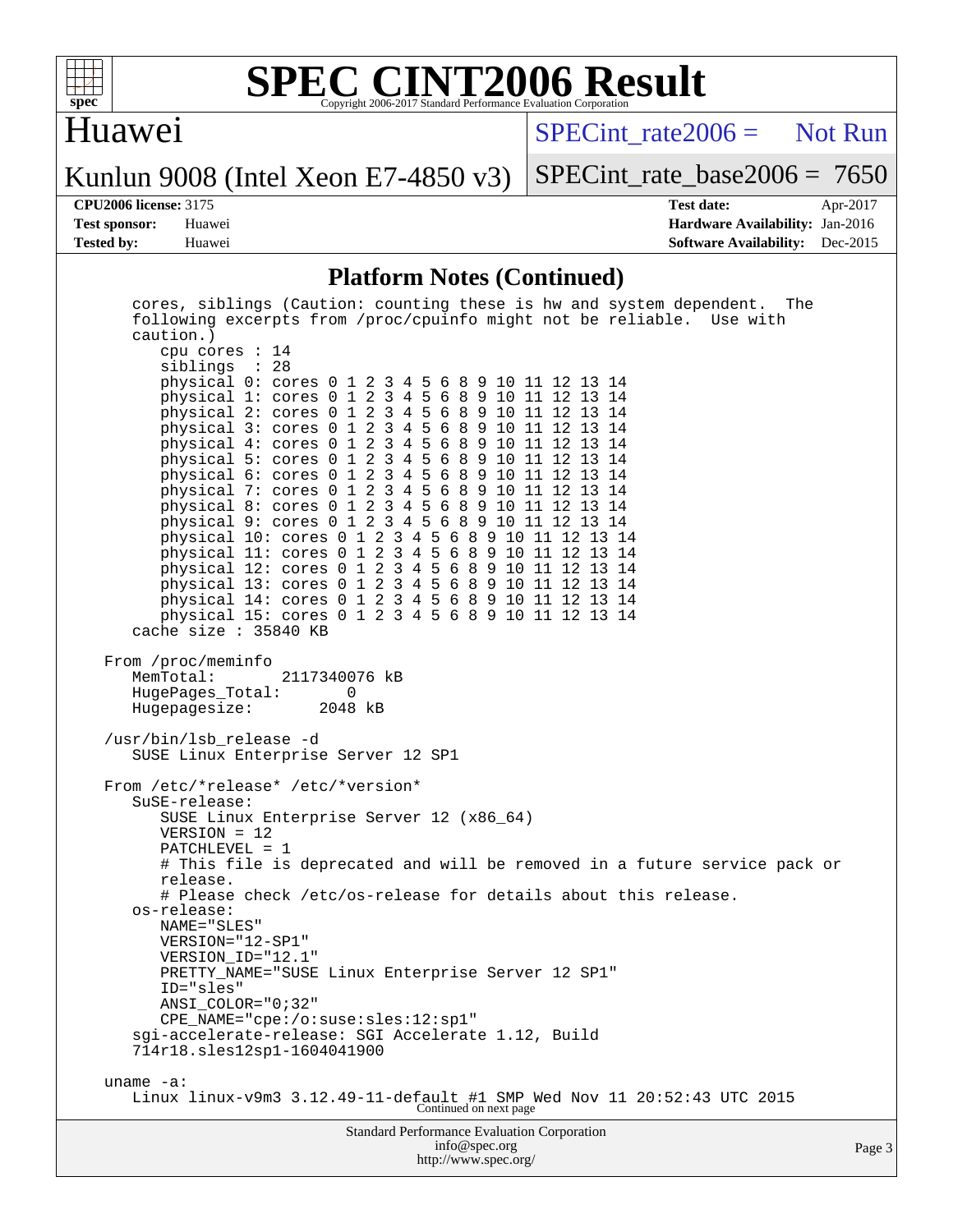

# Huawei

[SPECint\\_rate2006 =](http://www.spec.org/auto/cpu2006/Docs/result-fields.html#SPECintrate2006) Not Run

Kunlun 9008 (Intel Xeon E7-4850 v3)

[SPECint\\_rate\\_base2006 =](http://www.spec.org/auto/cpu2006/Docs/result-fields.html#SPECintratebase2006) 7650

**[CPU2006 license:](http://www.spec.org/auto/cpu2006/Docs/result-fields.html#CPU2006license)** 3175 **[Test date:](http://www.spec.org/auto/cpu2006/Docs/result-fields.html#Testdate)** Apr-2017 **[Test sponsor:](http://www.spec.org/auto/cpu2006/Docs/result-fields.html#Testsponsor)** Huawei **[Hardware Availability:](http://www.spec.org/auto/cpu2006/Docs/result-fields.html#HardwareAvailability)** Jan-2016 **[Tested by:](http://www.spec.org/auto/cpu2006/Docs/result-fields.html#Testedby)** Huawei **[Software Availability:](http://www.spec.org/auto/cpu2006/Docs/result-fields.html#SoftwareAvailability)** Dec-2015

### **[Platform Notes \(Continued\)](http://www.spec.org/auto/cpu2006/Docs/result-fields.html#PlatformNotes)**

| cores, siblings (Caution: counting these is hw and system dependent. The<br>following excerpts from /proc/cpuinfo might not be reliable. Use with<br>caution.) |      |  |  |  |  |  |
|----------------------------------------------------------------------------------------------------------------------------------------------------------------|------|--|--|--|--|--|
| cpu cores $: 14$<br>siblings : 28<br>physical 0: cores 0 1 2 3 4 5 6 8 9 10 11 12 13 14                                                                        |      |  |  |  |  |  |
| physical 1: cores 0 1 2 3 4 5 6 8 9 10 11 12 13 14<br>physical 2: cores 0 1 2 3 4 5 6 8 9 10 11 12 13 14                                                       |      |  |  |  |  |  |
| physical 3: cores 0 1 2 3 4 5 6 8 9 10 11 12 13 14<br>physical 4: cores 0 1 2 3 4 5 6 8 9 10 11 12 13 14                                                       |      |  |  |  |  |  |
| physical 5: cores 0 1 2 3 4 5 6 8 9 10 11 12 13 14<br>physical 6: cores 0 1 2 3 4 5 6 8 9 10 11 12 13 14                                                       |      |  |  |  |  |  |
| physical 7: cores 0 1 2 3 4 5 6 8 9 10 11 12 13 14<br>physical 8: cores 0 1 2 3 4 5 6 8 9 10 11 12 13 14                                                       |      |  |  |  |  |  |
| physical 9: cores 0 1 2 3 4 5 6 8 9 10 11 12 13 14<br>physical 10: cores 0 1 2 3 4 5 6 8 9 10 11 12 13 14                                                      |      |  |  |  |  |  |
| physical 11: cores 0 1 2 3 4 5 6 8 9 10 11 12 13 14<br>physical 12: cores 0 1 2 3 4 5 6 8 9 10 11 12 13 14                                                     |      |  |  |  |  |  |
| physical 13: cores 0 1 2 3 4 5 6 8 9 10 11 12 13 14<br>physical 14: cores 0 1 2 3 4 5 6 8 9 10 11 12 13 14                                                     |      |  |  |  |  |  |
| physical 15: cores 0 1 2 3 4 5 6 8 9 10 11 12 13 14<br>cache size : 35840 KB                                                                                   |      |  |  |  |  |  |
| From /proc/meminfo<br>MemTotal:<br>2117340076 kB<br>HugePages_Total:<br>$\overline{0}$<br>Hugepagesize: 2048 kB                                                |      |  |  |  |  |  |
| /usr/bin/lsb_release -d<br>SUSE Linux Enterprise Server 12 SP1                                                                                                 |      |  |  |  |  |  |
| From /etc/*release* /etc/*version*<br>SuSE-release:                                                                                                            |      |  |  |  |  |  |
| SUSE Linux Enterprise Server 12 (x86_64)<br>$VERSION = 12$                                                                                                     |      |  |  |  |  |  |
| PATCHLEVEL = 1<br># This file is deprecated and will be removed in a future service pack or                                                                    |      |  |  |  |  |  |
| release.<br># Please check /etc/os-release for details about this release.                                                                                     |      |  |  |  |  |  |
| os-release:<br>NAME="SLES"                                                                                                                                     |      |  |  |  |  |  |
| VERSION="12-SP1"<br>VERSION_ID="12.1"                                                                                                                          |      |  |  |  |  |  |
| PRETTY_NAME="SUSE Linux Enterprise Server 12 SP1"<br>ID="sles"                                                                                                 |      |  |  |  |  |  |
| ANSI COLOR="0;32"<br>CPE_NAME="cpe:/o:suse:sles:12:sp1"                                                                                                        |      |  |  |  |  |  |
| sgi-accelerate-release: SGI Accelerate 1.12, Build<br>714r18.sles12sp1-1604041900                                                                              |      |  |  |  |  |  |
| uname $-a$ :                                                                                                                                                   |      |  |  |  |  |  |
| Linux linux-v9m3 $3.12.49$ -11-default #1 SMP Wed Nov 11 $20:52:43$ UTC 2015<br>Continued on next page                                                         |      |  |  |  |  |  |
| <b>Standard Performance Evaluation Corporation</b><br>info@spec.org                                                                                            | Page |  |  |  |  |  |

<http://www.spec.org/>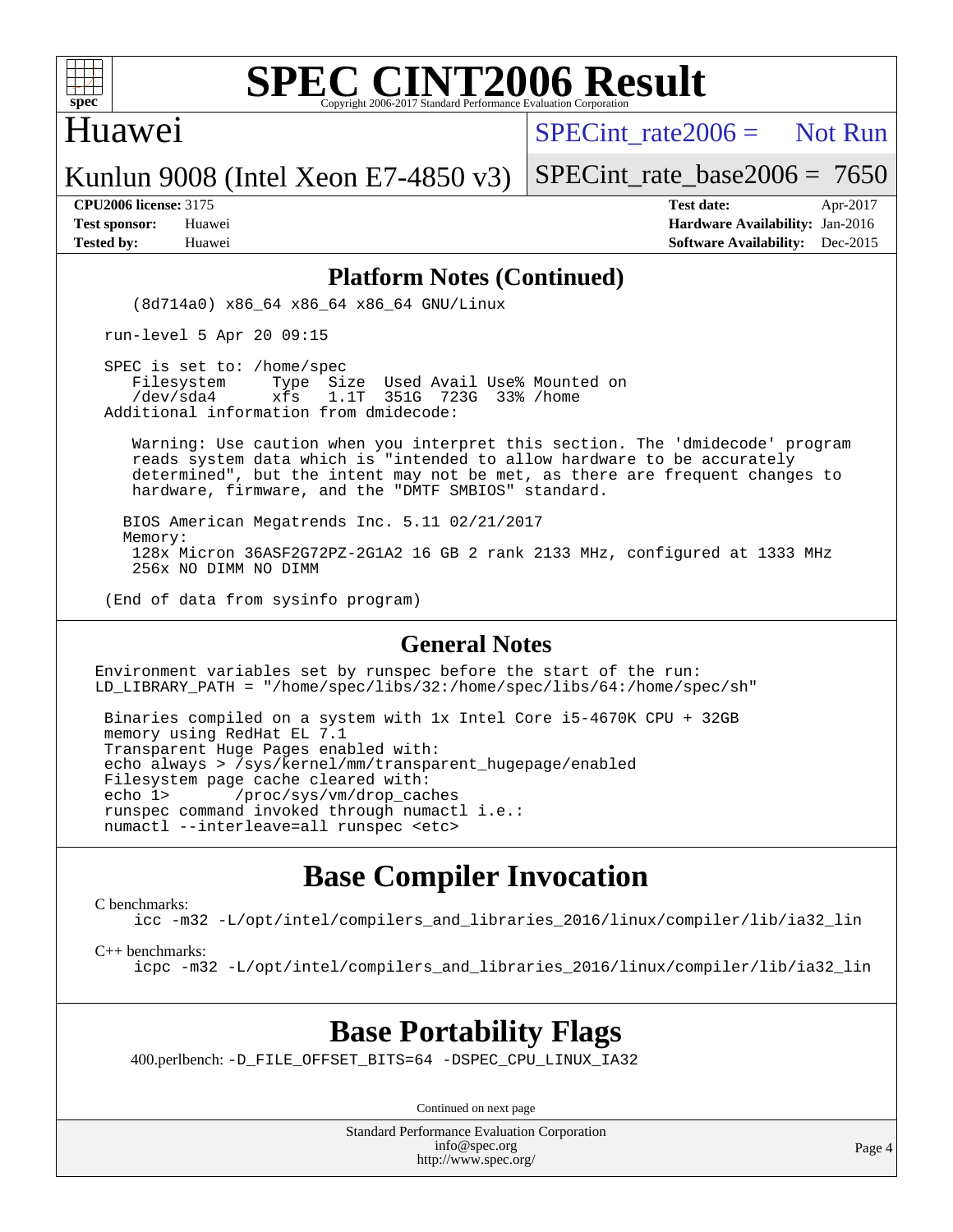

## Huawei

SPECint rate  $2006 =$  Not Run

Kunlun 9008 (Intel Xeon E7-4850 v3)

[SPECint\\_rate\\_base2006 =](http://www.spec.org/auto/cpu2006/Docs/result-fields.html#SPECintratebase2006) 7650

**[CPU2006 license:](http://www.spec.org/auto/cpu2006/Docs/result-fields.html#CPU2006license)** 3175 **[Test date:](http://www.spec.org/auto/cpu2006/Docs/result-fields.html#Testdate)** Apr-2017 **[Test sponsor:](http://www.spec.org/auto/cpu2006/Docs/result-fields.html#Testsponsor)** Huawei **[Hardware Availability:](http://www.spec.org/auto/cpu2006/Docs/result-fields.html#HardwareAvailability)** Jan-2016 **[Tested by:](http://www.spec.org/auto/cpu2006/Docs/result-fields.html#Testedby)** Huawei **[Software Availability:](http://www.spec.org/auto/cpu2006/Docs/result-fields.html#SoftwareAvailability)** Dec-2015

### **[Platform Notes \(Continued\)](http://www.spec.org/auto/cpu2006/Docs/result-fields.html#PlatformNotes)**

(8d714a0) x86\_64 x86\_64 x86\_64 GNU/Linux

run-level 5 Apr 20 09:15

SPEC is set to: /home/spec<br>Filesystem Type Si Type Size Used Avail Use% Mounted on /dev/sda4 xfs 1.1T 351G 723G 33% /home Additional information from dmidecode:

 Warning: Use caution when you interpret this section. The 'dmidecode' program reads system data which is "intended to allow hardware to be accurately determined", but the intent may not be met, as there are frequent changes to hardware, firmware, and the "DMTF SMBIOS" standard.

 BIOS American Megatrends Inc. 5.11 02/21/2017 Memory: 128x Micron 36ASF2G72PZ-2G1A2 16 GB 2 rank 2133 MHz, configured at 1333 MHz 256x NO DIMM NO DIMM

(End of data from sysinfo program)

### **[General Notes](http://www.spec.org/auto/cpu2006/Docs/result-fields.html#GeneralNotes)**

Environment variables set by runspec before the start of the run: LD\_LIBRARY\_PATH = "/home/spec/libs/32:/home/spec/libs/64:/home/spec/sh"

 Binaries compiled on a system with 1x Intel Core i5-4670K CPU + 32GB memory using RedHat EL 7.1 Transparent Huge Pages enabled with: echo always > /sys/kernel/mm/transparent\_hugepage/enabled Filesystem page cache cleared with: echo 1> /proc/sys/vm/drop\_caches runspec command invoked through numactl i.e.: numactl --interleave=all runspec <etc>

## **[Base Compiler Invocation](http://www.spec.org/auto/cpu2006/Docs/result-fields.html#BaseCompilerInvocation)**

[C benchmarks](http://www.spec.org/auto/cpu2006/Docs/result-fields.html#Cbenchmarks):

[icc -m32 -L/opt/intel/compilers\\_and\\_libraries\\_2016/linux/compiler/lib/ia32\\_lin](http://www.spec.org/cpu2006/results/res2017q4/cpu2006-20170918-50051.flags.html#user_CCbase_intel_icc_e10256ba5924b668798078a321b0cb3f)

[C++ benchmarks:](http://www.spec.org/auto/cpu2006/Docs/result-fields.html#CXXbenchmarks)

[icpc -m32 -L/opt/intel/compilers\\_and\\_libraries\\_2016/linux/compiler/lib/ia32\\_lin](http://www.spec.org/cpu2006/results/res2017q4/cpu2006-20170918-50051.flags.html#user_CXXbase_intel_icpc_b4f50a394bdb4597aa5879c16bc3f5c5)

# **[Base Portability Flags](http://www.spec.org/auto/cpu2006/Docs/result-fields.html#BasePortabilityFlags)**

400.perlbench: [-D\\_FILE\\_OFFSET\\_BITS=64](http://www.spec.org/cpu2006/results/res2017q4/cpu2006-20170918-50051.flags.html#user_basePORTABILITY400_perlbench_file_offset_bits_64_438cf9856305ebd76870a2c6dc2689ab) [-DSPEC\\_CPU\\_LINUX\\_IA32](http://www.spec.org/cpu2006/results/res2017q4/cpu2006-20170918-50051.flags.html#b400.perlbench_baseCPORTABILITY_DSPEC_CPU_LINUX_IA32)

Continued on next page

Standard Performance Evaluation Corporation [info@spec.org](mailto:info@spec.org) <http://www.spec.org/>

Page 4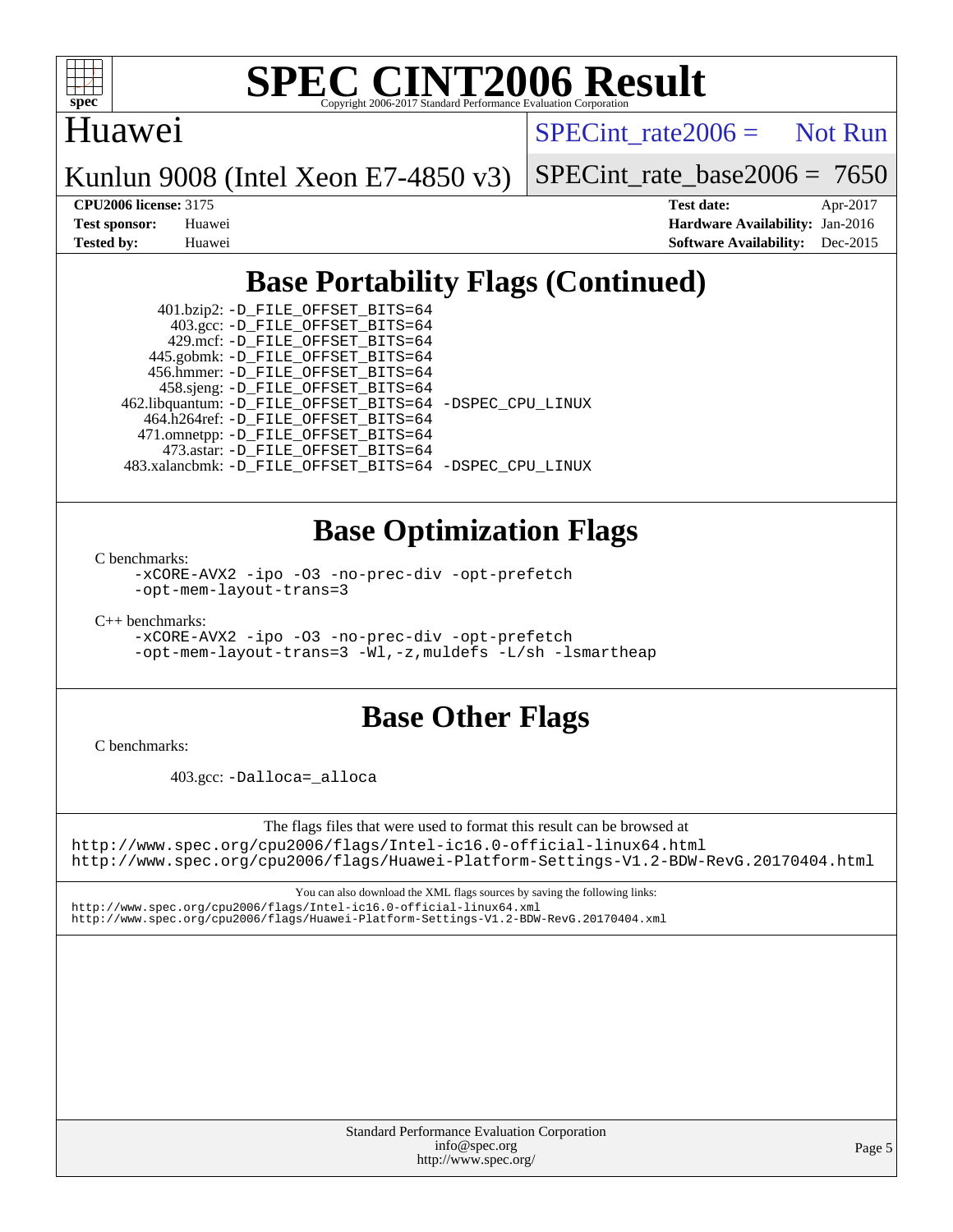

## Huawei

 $SPECTnt_rate2006 = Not Run$ 

Kunlun 9008 (Intel Xeon E7-4850 v3)

[SPECint\\_rate\\_base2006 =](http://www.spec.org/auto/cpu2006/Docs/result-fields.html#SPECintratebase2006) 7650

**[CPU2006 license:](http://www.spec.org/auto/cpu2006/Docs/result-fields.html#CPU2006license)** 3175 **[Test date:](http://www.spec.org/auto/cpu2006/Docs/result-fields.html#Testdate)** Apr-2017 **[Test sponsor:](http://www.spec.org/auto/cpu2006/Docs/result-fields.html#Testsponsor)** Huawei **[Hardware Availability:](http://www.spec.org/auto/cpu2006/Docs/result-fields.html#HardwareAvailability)** Jan-2016 **[Tested by:](http://www.spec.org/auto/cpu2006/Docs/result-fields.html#Testedby)** Huawei **[Software Availability:](http://www.spec.org/auto/cpu2006/Docs/result-fields.html#SoftwareAvailability)** Dec-2015

# **[Base Portability Flags \(Continued\)](http://www.spec.org/auto/cpu2006/Docs/result-fields.html#BasePortabilityFlags)**

 401.bzip2: [-D\\_FILE\\_OFFSET\\_BITS=64](http://www.spec.org/cpu2006/results/res2017q4/cpu2006-20170918-50051.flags.html#user_basePORTABILITY401_bzip2_file_offset_bits_64_438cf9856305ebd76870a2c6dc2689ab) 403.gcc: [-D\\_FILE\\_OFFSET\\_BITS=64](http://www.spec.org/cpu2006/results/res2017q4/cpu2006-20170918-50051.flags.html#user_basePORTABILITY403_gcc_file_offset_bits_64_438cf9856305ebd76870a2c6dc2689ab) 429.mcf: [-D\\_FILE\\_OFFSET\\_BITS=64](http://www.spec.org/cpu2006/results/res2017q4/cpu2006-20170918-50051.flags.html#user_basePORTABILITY429_mcf_file_offset_bits_64_438cf9856305ebd76870a2c6dc2689ab) 445.gobmk: [-D\\_FILE\\_OFFSET\\_BITS=64](http://www.spec.org/cpu2006/results/res2017q4/cpu2006-20170918-50051.flags.html#user_basePORTABILITY445_gobmk_file_offset_bits_64_438cf9856305ebd76870a2c6dc2689ab) 456.hmmer: [-D\\_FILE\\_OFFSET\\_BITS=64](http://www.spec.org/cpu2006/results/res2017q4/cpu2006-20170918-50051.flags.html#user_basePORTABILITY456_hmmer_file_offset_bits_64_438cf9856305ebd76870a2c6dc2689ab) 458.sjeng: [-D\\_FILE\\_OFFSET\\_BITS=64](http://www.spec.org/cpu2006/results/res2017q4/cpu2006-20170918-50051.flags.html#user_basePORTABILITY458_sjeng_file_offset_bits_64_438cf9856305ebd76870a2c6dc2689ab) 462.libquantum: [-D\\_FILE\\_OFFSET\\_BITS=64](http://www.spec.org/cpu2006/results/res2017q4/cpu2006-20170918-50051.flags.html#user_basePORTABILITY462_libquantum_file_offset_bits_64_438cf9856305ebd76870a2c6dc2689ab) [-DSPEC\\_CPU\\_LINUX](http://www.spec.org/cpu2006/results/res2017q4/cpu2006-20170918-50051.flags.html#b462.libquantum_baseCPORTABILITY_DSPEC_CPU_LINUX) 464.h264ref: [-D\\_FILE\\_OFFSET\\_BITS=64](http://www.spec.org/cpu2006/results/res2017q4/cpu2006-20170918-50051.flags.html#user_basePORTABILITY464_h264ref_file_offset_bits_64_438cf9856305ebd76870a2c6dc2689ab) 471.omnetpp: [-D\\_FILE\\_OFFSET\\_BITS=64](http://www.spec.org/cpu2006/results/res2017q4/cpu2006-20170918-50051.flags.html#user_basePORTABILITY471_omnetpp_file_offset_bits_64_438cf9856305ebd76870a2c6dc2689ab) 473.astar: [-D\\_FILE\\_OFFSET\\_BITS=64](http://www.spec.org/cpu2006/results/res2017q4/cpu2006-20170918-50051.flags.html#user_basePORTABILITY473_astar_file_offset_bits_64_438cf9856305ebd76870a2c6dc2689ab) 483.xalancbmk: [-D\\_FILE\\_OFFSET\\_BITS=64](http://www.spec.org/cpu2006/results/res2017q4/cpu2006-20170918-50051.flags.html#user_basePORTABILITY483_xalancbmk_file_offset_bits_64_438cf9856305ebd76870a2c6dc2689ab) [-DSPEC\\_CPU\\_LINUX](http://www.spec.org/cpu2006/results/res2017q4/cpu2006-20170918-50051.flags.html#b483.xalancbmk_baseCXXPORTABILITY_DSPEC_CPU_LINUX)

# **[Base Optimization Flags](http://www.spec.org/auto/cpu2006/Docs/result-fields.html#BaseOptimizationFlags)**

[C benchmarks](http://www.spec.org/auto/cpu2006/Docs/result-fields.html#Cbenchmarks):

[-xCORE-AVX2](http://www.spec.org/cpu2006/results/res2017q4/cpu2006-20170918-50051.flags.html#user_CCbase_f-xAVX2_5f5fc0cbe2c9f62c816d3e45806c70d7) [-ipo](http://www.spec.org/cpu2006/results/res2017q4/cpu2006-20170918-50051.flags.html#user_CCbase_f-ipo) [-O3](http://www.spec.org/cpu2006/results/res2017q4/cpu2006-20170918-50051.flags.html#user_CCbase_f-O3) [-no-prec-div](http://www.spec.org/cpu2006/results/res2017q4/cpu2006-20170918-50051.flags.html#user_CCbase_f-no-prec-div) [-opt-prefetch](http://www.spec.org/cpu2006/results/res2017q4/cpu2006-20170918-50051.flags.html#user_CCbase_f-opt-prefetch) [-opt-mem-layout-trans=3](http://www.spec.org/cpu2006/results/res2017q4/cpu2006-20170918-50051.flags.html#user_CCbase_f-opt-mem-layout-trans_a7b82ad4bd7abf52556d4961a2ae94d5)

[C++ benchmarks:](http://www.spec.org/auto/cpu2006/Docs/result-fields.html#CXXbenchmarks)

[-xCORE-AVX2](http://www.spec.org/cpu2006/results/res2017q4/cpu2006-20170918-50051.flags.html#user_CXXbase_f-xAVX2_5f5fc0cbe2c9f62c816d3e45806c70d7) [-ipo](http://www.spec.org/cpu2006/results/res2017q4/cpu2006-20170918-50051.flags.html#user_CXXbase_f-ipo) [-O3](http://www.spec.org/cpu2006/results/res2017q4/cpu2006-20170918-50051.flags.html#user_CXXbase_f-O3) [-no-prec-div](http://www.spec.org/cpu2006/results/res2017q4/cpu2006-20170918-50051.flags.html#user_CXXbase_f-no-prec-div) [-opt-prefetch](http://www.spec.org/cpu2006/results/res2017q4/cpu2006-20170918-50051.flags.html#user_CXXbase_f-opt-prefetch) [-opt-mem-layout-trans=3](http://www.spec.org/cpu2006/results/res2017q4/cpu2006-20170918-50051.flags.html#user_CXXbase_f-opt-mem-layout-trans_a7b82ad4bd7abf52556d4961a2ae94d5) [-Wl,-z,muldefs](http://www.spec.org/cpu2006/results/res2017q4/cpu2006-20170918-50051.flags.html#user_CXXbase_link_force_multiple1_74079c344b956b9658436fd1b6dd3a8a) [-L/sh -lsmartheap](http://www.spec.org/cpu2006/results/res2017q4/cpu2006-20170918-50051.flags.html#user_CXXbase_SmartHeap_32f6c82aa1ed9c52345d30cf6e4a0499)

# **[Base Other Flags](http://www.spec.org/auto/cpu2006/Docs/result-fields.html#BaseOtherFlags)**

[C benchmarks](http://www.spec.org/auto/cpu2006/Docs/result-fields.html#Cbenchmarks):

403.gcc: [-Dalloca=\\_alloca](http://www.spec.org/cpu2006/results/res2017q4/cpu2006-20170918-50051.flags.html#b403.gcc_baseEXTRA_CFLAGS_Dalloca_be3056838c12de2578596ca5467af7f3)

The flags files that were used to format this result can be browsed at

<http://www.spec.org/cpu2006/flags/Intel-ic16.0-official-linux64.html> <http://www.spec.org/cpu2006/flags/Huawei-Platform-Settings-V1.2-BDW-RevG.20170404.html>

You can also download the XML flags sources by saving the following links: <http://www.spec.org/cpu2006/flags/Intel-ic16.0-official-linux64.xml> <http://www.spec.org/cpu2006/flags/Huawei-Platform-Settings-V1.2-BDW-RevG.20170404.xml>

> Standard Performance Evaluation Corporation [info@spec.org](mailto:info@spec.org) <http://www.spec.org/>